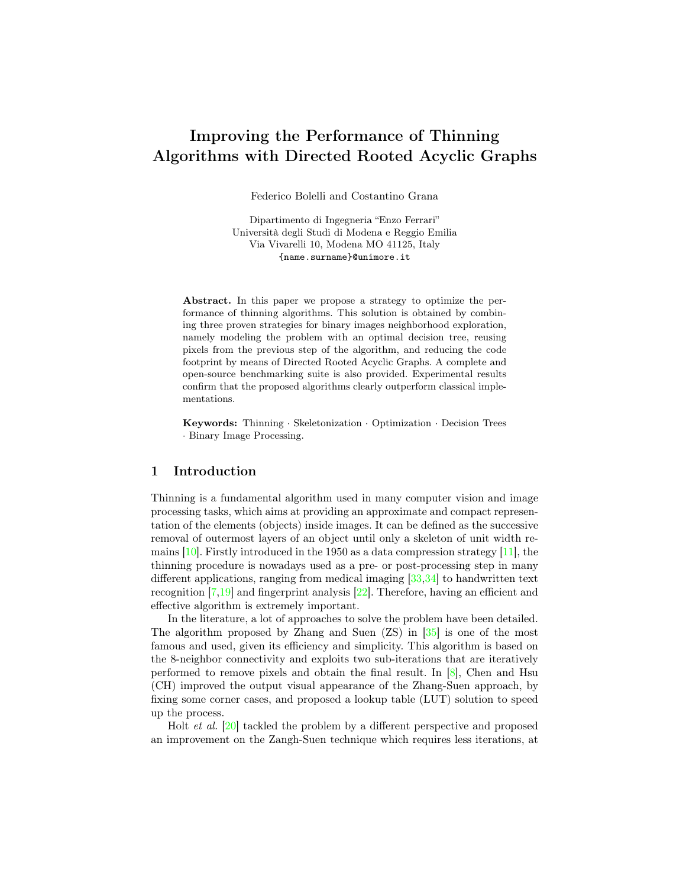# Improving the Performance of Thinning Algorithms with Directed Rooted Acyclic Graphs

Federico Bolelli and Costantino Grana

Dipartimento di Ingegneria "Enzo Ferrari" Università degli Studi di Modena e Reggio Emilia Via Vivarelli 10, Modena MO 41125, Italy {name.surname}@unimore.it

Abstract. In this paper we propose a strategy to optimize the performance of thinning algorithms. This solution is obtained by combining three proven strategies for binary images neighborhood exploration, namely modeling the problem with an optimal decision tree, reusing pixels from the previous step of the algorithm, and reducing the code footprint by means of Directed Rooted Acyclic Graphs. A complete and open-source benchmarking suite is also provided. Experimental results confirm that the proposed algorithms clearly outperform classical implementations.

Keywords: Thinning · Skeletonization · Optimization · Decision Trees · Binary Image Processing.

## 1 Introduction

Thinning is a fundamental algorithm used in many computer vision and image processing tasks, which aims at providing an approximate and compact representation of the elements (objects) inside images. It can be defined as the successive removal of outermost layers of an object until only a skeleton of unit width remains  $[10]$ . Firstly introduced in the 1950 as a data compression strategy  $[11]$ , the thinning procedure is nowadays used as a pre- or post-processing step in many different applications, ranging from medical imaging  $[33,34]$  $[33,34]$  to handwritten text recognition [\[7](#page-8-0)[,19\]](#page-9-2) and fingerprint analysis [\[22\]](#page-9-3). Therefore, having an efficient and effective algorithm is extremely important.

In the literature, a lot of approaches to solve the problem have been detailed. The algorithm proposed by Zhang and Suen (ZS) in [\[35\]](#page-10-2) is one of the most famous and used, given its efficiency and simplicity. This algorithm is based on the 8-neighbor connectivity and exploits two sub-iterations that are iteratively performed to remove pixels and obtain the final result. In  $[8]$ , Chen and Hsu (CH) improved the output visual appearance of the Zhang-Suen approach, by fixing some corner cases, and proposed a lookup table (LUT) solution to speed up the process.

Holt et al. [\[20\]](#page-9-4) tackled the problem by a different perspective and proposed an improvement on the Zangh-Suen technique which requires less iterations, at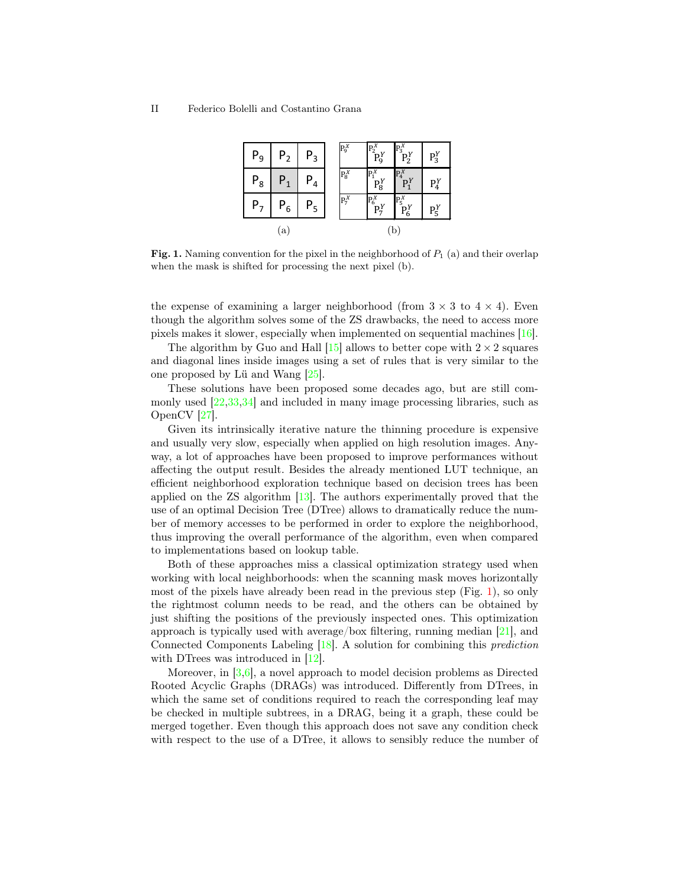| P <sub>9</sub> | ${\sf P}_2$ | ${\sf P}_3$    | $P_9^X$ | $\overline{P_2^X}$ | $P_3^{\overline{X}}$<br>$P_2^{\overline{Y}}$ | $P_3^Y$        |
|----------------|-------------|----------------|---------|--------------------|----------------------------------------------|----------------|
| ${\sf P}_8$    |             | ${\sf P}_4$    | $P_8^X$ | $P_1^X$<br>$P_8^Y$ | $\mathbb{P}_4^X$<br>$P_1^Y$                  | $P_4^{\gamma}$ |
| Ρ,             | ${\sf P}_6$ | Ρ <sub>5</sub> | $P_7^X$ | $P_6^X$<br>$P_7^Y$ | $P_5^X$<br>$P_6^Y$                           | $P_5^Y$        |
| a              |             |                | p       |                    |                                              |                |

<span id="page-1-0"></span>**Fig. 1.** Naming convention for the pixel in the neighborhood of  $P_1$  (a) and their overlap when the mask is shifted for processing the next pixel (b).

the expense of examining a larger neighborhood (from  $3 \times 3$  to  $4 \times 4$ ). Even though the algorithm solves some of the ZS drawbacks, the need to access more pixels makes it slower, especially when implemented on sequential machines [\[16\]](#page-9-5).

The algorithm by Guo and Hall  $[15]$  allows to better cope with  $2 \times 2$  squares and diagonal lines inside images using a set of rules that is very similar to the one proposed by Lü and Wang [\[25\]](#page-9-7).

These solutions have been proposed some decades ago, but are still commonly used [\[22,](#page-9-3)[33](#page-10-0)[,34\]](#page-10-1) and included in many image processing libraries, such as OpenCV [\[27\]](#page-9-8).

Given its intrinsically iterative nature the thinning procedure is expensive and usually very slow, especially when applied on high resolution images. Anyway, a lot of approaches have been proposed to improve performances without affecting the output result. Besides the already mentioned LUT technique, an efficient neighborhood exploration technique based on decision trees has been applied on the ZS algorithm  $[13]$ . The authors experimentally proved that the use of an optimal Decision Tree (DTree) allows to dramatically reduce the number of memory accesses to be performed in order to explore the neighborhood, thus improving the overall performance of the algorithm, even when compared to implementations based on lookup table.

Both of these approaches miss a classical optimization strategy used when working with local neighborhoods: when the scanning mask moves horizontally most of the pixels have already been read in the previous step (Fig. [1\)](#page-1-0), so only the rightmost column needs to be read, and the others can be obtained by just shifting the positions of the previously inspected ones. This optimization approach is typically used with average/box filtering, running median [\[21\]](#page-9-10), and Connected Components Labeling [\[18\]](#page-9-11). A solution for combining this prediction with DTrees was introduced in [\[12\]](#page-9-12).

Moreover, in  $[3,6]$  $[3,6]$ , a novel approach to model decision problems as Directed Rooted Acyclic Graphs (DRAGs) was introduced. Differently from DTrees, in which the same set of conditions required to reach the corresponding leaf may be checked in multiple subtrees, in a DRAG, being it a graph, these could be merged together. Even though this approach does not save any condition check with respect to the use of a DTree, it allows to sensibly reduce the number of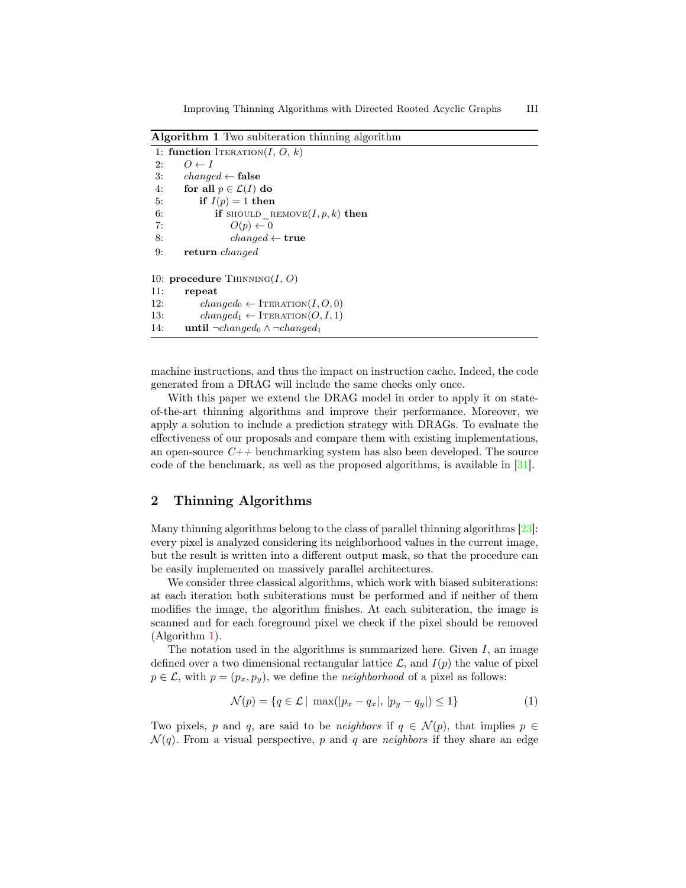<span id="page-2-0"></span>Algorithm 1 Two subiteration thinning algorithm

```
1: function ITERATION(I, O, k)2: O \leftarrow I3: changed \leftarrow false
4: for all p \in \mathcal{L}(I) do
5: if I(p) = 1 then
6: if should remove(I, p, k) then
7: O(p) \leftarrow 08: changed \leftarrow true9: return changed
10: procedure Thinning(I, O)11: repeat
12: changed_0 \leftarrow \text{ITERATION}(I, O, 0)13: changed<sub>1</sub> \leftarrow ITERATION(O, I, 1)
14: until \neg changed_0 \wedge \neg changed_1
```
machine instructions, and thus the impact on instruction cache. Indeed, the code generated from a DRAG will include the same checks only once.

With this paper we extend the DRAG model in order to apply it on stateof-the-art thinning algorithms and improve their performance. Moreover, we apply a solution to include a prediction strategy with DRAGs. To evaluate the effectiveness of our proposals and compare them with existing implementations, an open-source  $C_{++}$  benchmarking system has also been developed. The source code of the benchmark, as well as the proposed algorithms, is available in [\[31\]](#page-10-3).

# 2 Thinning Algorithms

Many thinning algorithms belong to the class of parallel thinning algorithms [\[23\]](#page-9-13): every pixel is analyzed considering its neighborhood values in the current image, but the result is written into a different output mask, so that the procedure can be easily implemented on massively parallel architectures.

We consider three classical algorithms, which work with biased subiterations: at each iteration both subiterations must be performed and if neither of them modifies the image, the algorithm finishes. At each subiteration, the image is scanned and for each foreground pixel we check if the pixel should be removed (Algorithm [1\)](#page-2-0).

The notation used in the algorithms is summarized here. Given  $I$ , an image defined over a two dimensional rectangular lattice  $\mathcal{L}$ , and  $I(p)$  the value of pixel  $p \in \mathcal{L}$ , with  $p = (p_x, p_y)$ , we define the *neighborhood* of a pixel as follows:

<span id="page-2-1"></span>
$$
\mathcal{N}(p) = \{ q \in \mathcal{L} \mid \max(|p_x - q_x|, |p_y - q_y|) \le 1 \}
$$
\n(1)

Two pixels, p and q, are said to be neighbors if  $q \in \mathcal{N}(p)$ , that implies  $p \in$  $\mathcal{N}(q)$ . From a visual perspective, p and q are neighbors if they share an edge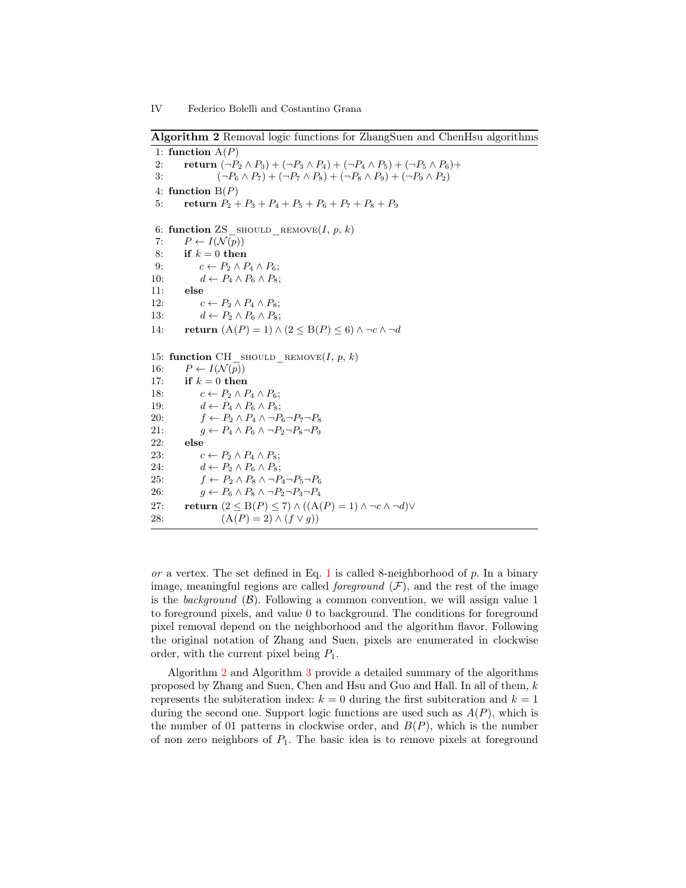<span id="page-3-0"></span>Algorithm 2 Removal logic functions for ZhangSuen and ChenHsu algorithms

1: function  $A(P)$ 2: **return**  $(\neg P_2 \land P_3) + (\neg P_3 \land P_4) + (\neg P_4 \land P_5) + (\neg P_5 \land P_6) +$ 3:  $(\neg P_6 \land P_7) + (\neg P_7 \land P_8) + (\neg P_8 \land P_9) + (\neg P_9 \land P_2)$ 4: function  $B(P)$ 5: return  $P_2 + P_3 + P_4 + P_5 + P_6 + P_7 + P_8 + P_9$ 6: function ZS\_should\_remove $(I, p, k)$ 7:  $P \leftarrow I(\mathcal{N}(p))$ 8: if  $k = 0$  then 9:  $c \leftarrow P_2 \wedge P_4 \wedge P_6;$ 10:  $d \leftarrow P_4 \wedge P_6 \wedge P_8;$ 11: else 12:  $c \leftarrow P_2 \land P_4 \land P_8;$ 13:  $d \leftarrow P_2 \wedge P_6 \wedge P_8;$ 14: return  $(A(P) = 1) \wedge (2 \leq B(P) \leq 6) \wedge \neg c \wedge \neg d$ 15: function CH\_should\_remove(I, p, k) 16:  $P \leftarrow I(\mathcal{N}(p))$ 17: if  $k = 0$  then 18:  $c \leftarrow P_2 \land P_4 \land P_6;$ 19:  $d \leftarrow P_4 \wedge P_6 \wedge P_8;$ 20:  $f \leftarrow P_2 \land P_4 \land \neg P_6 \neg P_7 \neg P_8$ 21:  $g \leftarrow P_4 \land P_6 \land \neg P_2 \neg P_8 \neg P_9$ 22: else 23:  $c \leftarrow P_2 \land P_4 \land P_8;$ 24:  $d \leftarrow P_2 \wedge P_6 \wedge P_8;$ 25:  $f \leftarrow P_2 \land P_8 \land \neg P_4 \neg P_5 \neg P_6$ 26:  $g \leftarrow P_6 \land P_8 \land \neg P_2 \neg P_3 \neg P_4$ 27: return  $(2 \leq B(P) \leq 7) \wedge ((A(P) = 1) \wedge \neg c \wedge \neg d) \vee$ 28:  $(A(P) = 2) \wedge (f \vee g)$ 

or a vertex. The set defined in Eq. [1](#page-2-1) is called 8-neighborhood of  $p$ . In a binary image, meaningful regions are called *foreground*  $(F)$ , and the rest of the image is the background  $(\beta)$ . Following a common convention, we will assign value 1 to foreground pixels, and value 0 to background. The conditions for foreground pixel removal depend on the neighborhood and the algorithm flavor. Following the original notation of Zhang and Suen, pixels are enumerated in clockwise order, with the current pixel being  $P_1$ .

Algorithm [2](#page-3-0) and Algorithm [3](#page-4-0) provide a detailed summary of the algorithms proposed by Zhang and Suen, Chen and Hsu and Guo and Hall. In all of them, k represents the subiteration index:  $k = 0$  during the first subiteration and  $k = 1$ during the second one. Support logic functions are used such as  $A(P)$ , which is the number of 01 patterns in clockwise order, and  $B(P)$ , which is the number of non zero neighbors of  $P_1$ . The basic idea is to remove pixels at foreground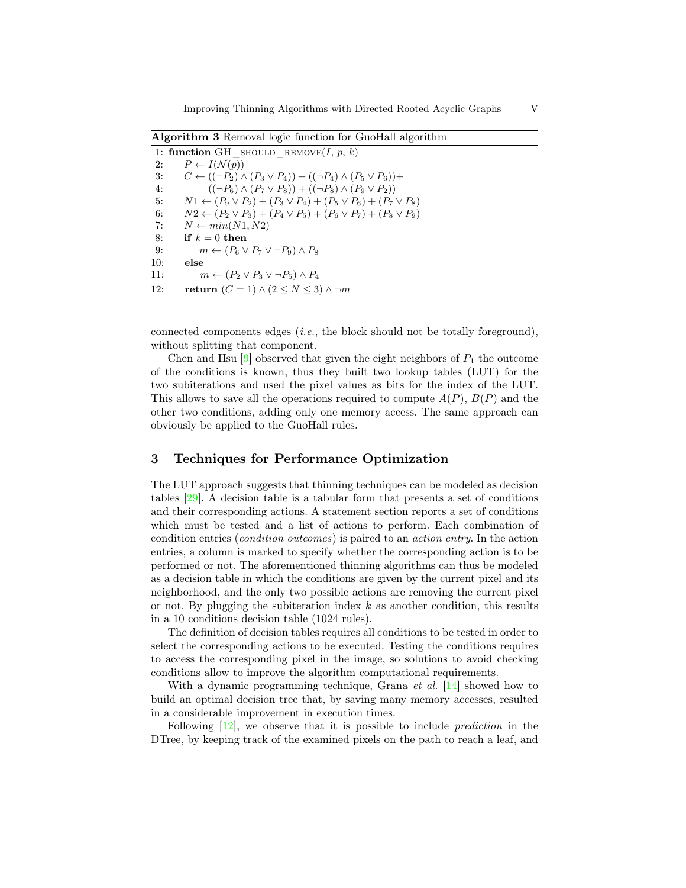<span id="page-4-0"></span>Algorithm 3 Removal logic function for GuoHall algorithm

|     | 1: function GH SHOULD REMOVE $(I, p, k)$                                               |
|-----|----------------------------------------------------------------------------------------|
| 2:  | $P \leftarrow I(\mathcal{N}(p))$                                                       |
| 3:  | $C \leftarrow ((\neg P_2) \land (P_3 \lor P_4)) + ((\neg P_4) \land (P_5 \lor P_6)) +$ |
| 4:  | $((\neg P_6) \wedge (P_7 \vee P_8)) + ((\neg P_8) \wedge (P_9 \vee P_2))$              |
| 5:  | $N1 \leftarrow (P_9 \vee P_2) + (P_3 \vee P_4) + (P_5 \vee P_6) + (P_7 \vee P_8)$      |
| 6:  | $N2 \leftarrow (P_2 \vee P_3) + (P_4 \vee P_5) + (P_6 \vee P_7) + (P_8 \vee P_9)$      |
| 7:  | $N \leftarrow min(N1,N2)$                                                              |
| 8:  | if $k=0$ then                                                                          |
| 9:  | $m \leftarrow (P_6 \vee P_7 \vee \neg P_9) \wedge P_8$                                 |
| 10: | else                                                                                   |
| 11: | $m \leftarrow (P_2 \vee P_3 \vee \neg P_5) \wedge P_4$                                 |
| 12: | return $(C = 1) \wedge (2 \le N \le 3) \wedge \neg m$                                  |

connected components edges (i.e., the block should not be totally foreground), without splitting that component.

Chen and Hsu  $[9]$  observed that given the eight neighbors of  $P_1$  the outcome of the conditions is known, thus they built two lookup tables (LUT) for the two subiterations and used the pixel values as bits for the index of the LUT. This allows to save all the operations required to compute  $A(P)$ ,  $B(P)$  and the other two conditions, adding only one memory access. The same approach can obviously be applied to the GuoHall rules.

## 3 Techniques for Performance Optimization

The LUT approach suggests that thinning techniques can be modeled as decision tables [\[29\]](#page-9-14). A decision table is a tabular form that presents a set of conditions and their corresponding actions. A statement section reports a set of conditions which must be tested and a list of actions to perform. Each combination of condition entries (condition outcomes) is paired to an action entry. In the action entries, a column is marked to specify whether the corresponding action is to be performed or not. The aforementioned thinning algorithms can thus be modeled as a decision table in which the conditions are given by the current pixel and its neighborhood, and the only two possible actions are removing the current pixel or not. By plugging the subiteration index  $k$  as another condition, this results in a 10 conditions decision table (1024 rules).

The definition of decision tables requires all conditions to be tested in order to select the corresponding actions to be executed. Testing the conditions requires to access the corresponding pixel in the image, so solutions to avoid checking conditions allow to improve the algorithm computational requirements.

With a dynamic programming technique, Grana *et al.* [\[14\]](#page-9-15) showed how to build an optimal decision tree that, by saving many memory accesses, resulted in a considerable improvement in execution times.

Following [\[12\]](#page-9-12), we observe that it is possible to include prediction in the DTree, by keeping track of the examined pixels on the path to reach a leaf, and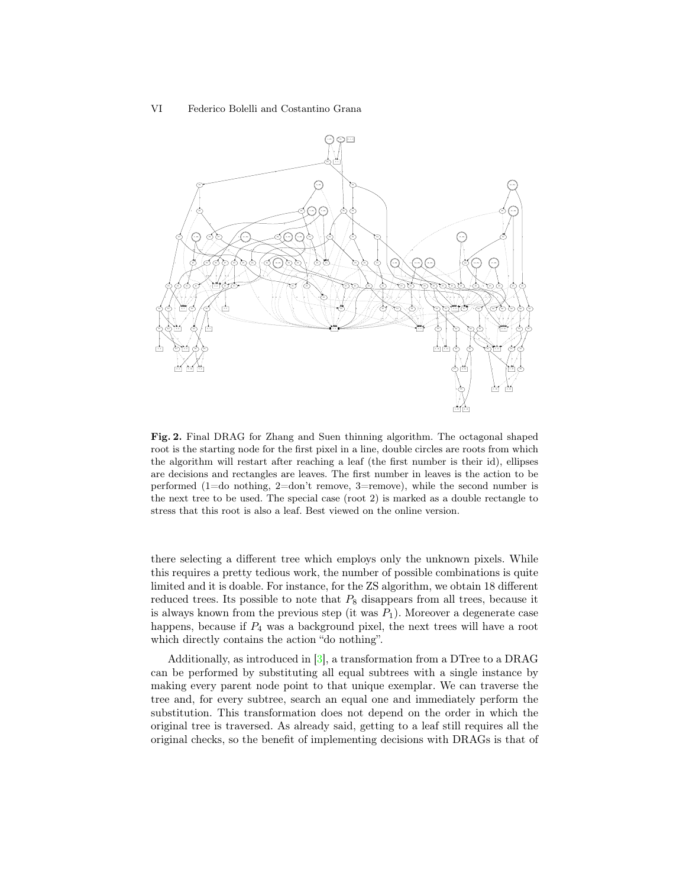VI Federico Bolelli and Costantino Grana



<span id="page-5-0"></span>Fig. 2. Final DRAG for Zhang and Suen thinning algorithm. The octagonal shaped root is the starting node for the first pixel in a line, double circles are roots from which the algorithm will restart after reaching a leaf (the first number is their id), ellipses are decisions and rectangles are leaves. The first number in leaves is the action to be performed (1=do nothing, 2=don't remove, 3=remove), while the second number is the next tree to be used. The special case (root 2) is marked as a double rectangle to stress that this root is also a leaf. Best viewed on the online version.

there selecting a different tree which employs only the unknown pixels. While this requires a pretty tedious work, the number of possible combinations is quite limited and it is doable. For instance, for the ZS algorithm, we obtain 18 different reduced trees. Its possible to note that  $P_8$  disappears from all trees, because it is always known from the previous step (it was  $P_1$ ). Moreover a degenerate case happens, because if  $P_4$  was a background pixel, the next trees will have a root which directly contains the action "do nothing".

Additionally, as introduced in [\[3\]](#page-8-2), a transformation from a DTree to a DRAG can be performed by substituting all equal subtrees with a single instance by making every parent node point to that unique exemplar. We can traverse the tree and, for every subtree, search an equal one and immediately perform the substitution. This transformation does not depend on the order in which the original tree is traversed. As already said, getting to a leaf still requires all the original checks, so the benefit of implementing decisions with DRAGs is that of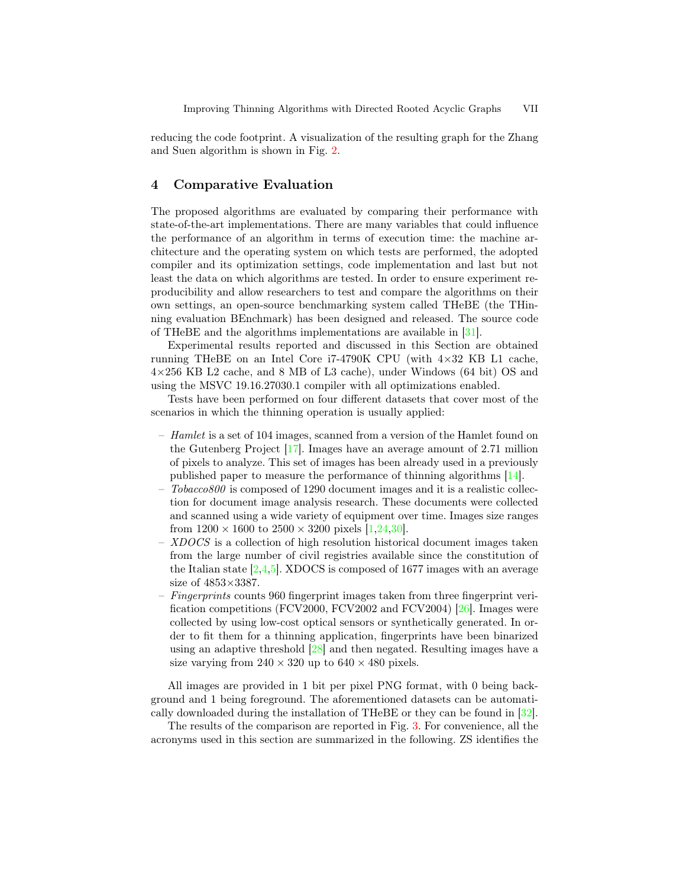reducing the code footprint. A visualization of the resulting graph for the Zhang and Suen algorithm is shown in Fig. [2.](#page-5-0)

# 4 Comparative Evaluation

The proposed algorithms are evaluated by comparing their performance with state-of-the-art implementations. There are many variables that could influence the performance of an algorithm in terms of execution time: the machine architecture and the operating system on which tests are performed, the adopted compiler and its optimization settings, code implementation and last but not least the data on which algorithms are tested. In order to ensure experiment reproducibility and allow researchers to test and compare the algorithms on their own settings, an open-source benchmarking system called THeBE (the THinning evaluation BEnchmark) has been designed and released. The source code of THeBE and the algorithms implementations are available in [\[31\]](#page-10-3).

Experimental results reported and discussed in this Section are obtained running THeBE on an Intel Core i7-4790K CPU (with  $4\times32$  KB L1 cache, 4×256 KB L2 cache, and 8 MB of L3 cache), under Windows (64 bit) OS and using the MSVC 19.16.27030.1 compiler with all optimizations enabled.

Tests have been performed on four different datasets that cover most of the scenarios in which the thinning operation is usually applied:

- $-$  Hamlet is a set of 104 images, scanned from a version of the Hamlet found on the Gutenberg Project [\[17\]](#page-9-16). Images have an average amount of 2.71 million of pixels to analyze. This set of images has been already used in a previously published paper to measure the performance of thinning algorithms [\[14\]](#page-9-15).
- Tobacco800 is composed of 1290 document images and it is a realistic collection for document image analysis research. These documents were collected and scanned using a wide variety of equipment over time. Images size ranges from  $1200 \times 1600$  to  $2500 \times 3200$  pixels [\[1,](#page-8-5)[24,](#page-9-17)[30\]](#page-9-18).
- XDOCS is a collection of high resolution historical document images taken from the large number of civil registries available since the constitution of the Italian state  $[2,4,5]$  $[2,4,5]$  $[2,4,5]$ . XDOCS is composed of 1677 images with an average size of 4853×3387.
- Fingerprints counts 960 fingerprint images taken from three fingerprint veri-fication competitions (FCV2000, FCV2002 and FCV2004) [\[26\]](#page-9-19). Images were collected by using low-cost optical sensors or synthetically generated. In order to fit them for a thinning application, fingerprints have been binarized using an adaptive threshold [\[28\]](#page-9-20) and then negated. Resulting images have a size varying from  $240 \times 320$  up to  $640 \times 480$  pixels.

All images are provided in 1 bit per pixel PNG format, with 0 being background and 1 being foreground. The aforementioned datasets can be automatically downloaded during the installation of THeBE or they can be found in [\[32\]](#page-10-4).

The results of the comparison are reported in Fig. [3.](#page-7-0) For convenience, all the acronyms used in this section are summarized in the following. ZS identifies the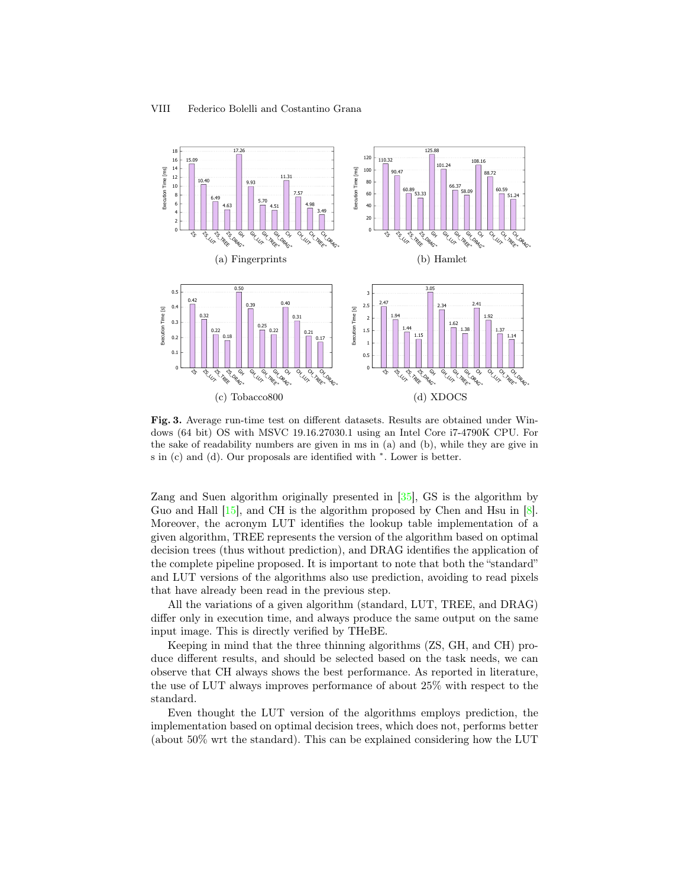

<span id="page-7-0"></span>Fig. 3. Average run-time test on different datasets. Results are obtained under Windows (64 bit) OS with MSVC 19.16.27030.1 using an Intel Core i7-4790K CPU. For the sake of readability numbers are given in ms in (a) and (b), while they are give in s in (c) and (d). Our proposals are identified with  $*$ . Lower is better.

Zang and Suen algorithm originally presented in [\[35\]](#page-10-2), GS is the algorithm by Guo and Hall [\[15\]](#page-9-6), and CH is the algorithm proposed by Chen and Hsu in [\[8\]](#page-8-1). Moreover, the acronym LUT identifies the lookup table implementation of a given algorithm, TREE represents the version of the algorithm based on optimal decision trees (thus without prediction), and DRAG identifies the application of the complete pipeline proposed. It is important to note that both the "standard" and LUT versions of the algorithms also use prediction, avoiding to read pixels that have already been read in the previous step.

All the variations of a given algorithm (standard, LUT, TREE, and DRAG) differ only in execution time, and always produce the same output on the same input image. This is directly verified by THeBE.

Keeping in mind that the three thinning algorithms (ZS, GH, and CH) produce different results, and should be selected based on the task needs, we can observe that CH always shows the best performance. As reported in literature, the use of LUT always improves performance of about 25% with respect to the standard.

Even thought the LUT version of the algorithms employs prediction, the implementation based on optimal decision trees, which does not, performs better (about 50% wrt the standard). This can be explained considering how the LUT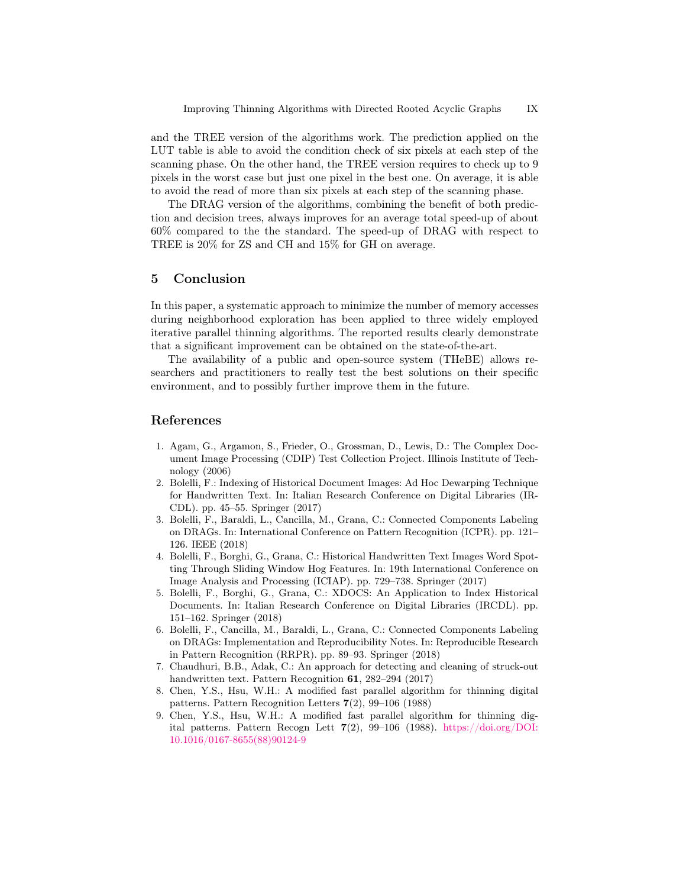and the TREE version of the algorithms work. The prediction applied on the LUT table is able to avoid the condition check of six pixels at each step of the scanning phase. On the other hand, the TREE version requires to check up to 9 pixels in the worst case but just one pixel in the best one. On average, it is able to avoid the read of more than six pixels at each step of the scanning phase.

The DRAG version of the algorithms, combining the benefit of both prediction and decision trees, always improves for an average total speed-up of about 60% compared to the the standard. The speed-up of DRAG with respect to TREE is 20% for ZS and CH and 15% for GH on average.

#### 5 Conclusion

In this paper, a systematic approach to minimize the number of memory accesses during neighborhood exploration has been applied to three widely employed iterative parallel thinning algorithms. The reported results clearly demonstrate that a significant improvement can be obtained on the state-of-the-art.

The availability of a public and open-source system (THeBE) allows researchers and practitioners to really test the best solutions on their specific environment, and to possibly further improve them in the future.

### References

- <span id="page-8-5"></span>1. Agam, G., Argamon, S., Frieder, O., Grossman, D., Lewis, D.: The Complex Document Image Processing (CDIP) Test Collection Project. Illinois Institute of Technology (2006)
- <span id="page-8-6"></span>2. Bolelli, F.: Indexing of Historical Document Images: Ad Hoc Dewarping Technique for Handwritten Text. In: Italian Research Conference on Digital Libraries (IR-CDL). pp. 45–55. Springer (2017)
- <span id="page-8-2"></span>3. Bolelli, F., Baraldi, L., Cancilla, M., Grana, C.: Connected Components Labeling on DRAGs. In: International Conference on Pattern Recognition (ICPR). pp. 121– 126. IEEE (2018)
- <span id="page-8-7"></span>4. Bolelli, F., Borghi, G., Grana, C.: Historical Handwritten Text Images Word Spotting Through Sliding Window Hog Features. In: 19th International Conference on Image Analysis and Processing (ICIAP). pp. 729–738. Springer (2017)
- <span id="page-8-8"></span>5. Bolelli, F., Borghi, G., Grana, C.: XDOCS: An Application to Index Historical Documents. In: Italian Research Conference on Digital Libraries (IRCDL). pp. 151–162. Springer (2018)
- <span id="page-8-3"></span>6. Bolelli, F., Cancilla, M., Baraldi, L., Grana, C.: Connected Components Labeling on DRAGs: Implementation and Reproducibility Notes. In: Reproducible Research in Pattern Recognition (RRPR). pp. 89–93. Springer (2018)
- <span id="page-8-0"></span>7. Chaudhuri, B.B., Adak, C.: An approach for detecting and cleaning of struck-out handwritten text. Pattern Recognition 61, 282–294 (2017)
- <span id="page-8-1"></span>8. Chen, Y.S., Hsu, W.H.: A modified fast parallel algorithm for thinning digital patterns. Pattern Recognition Letters 7(2), 99–106 (1988)
- <span id="page-8-4"></span>9. Chen, Y.S., Hsu, W.H.: A modified fast parallel algorithm for thinning digital patterns. Pattern Recogn Lett  $7(2)$ , 99–106 (1988). [https://doi.org/DOI:](https://doi.org/DOI: 10.1016/0167-8655(88)90124-9) [10.1016/0167-8655\(88\)90124-9](https://doi.org/DOI: 10.1016/0167-8655(88)90124-9)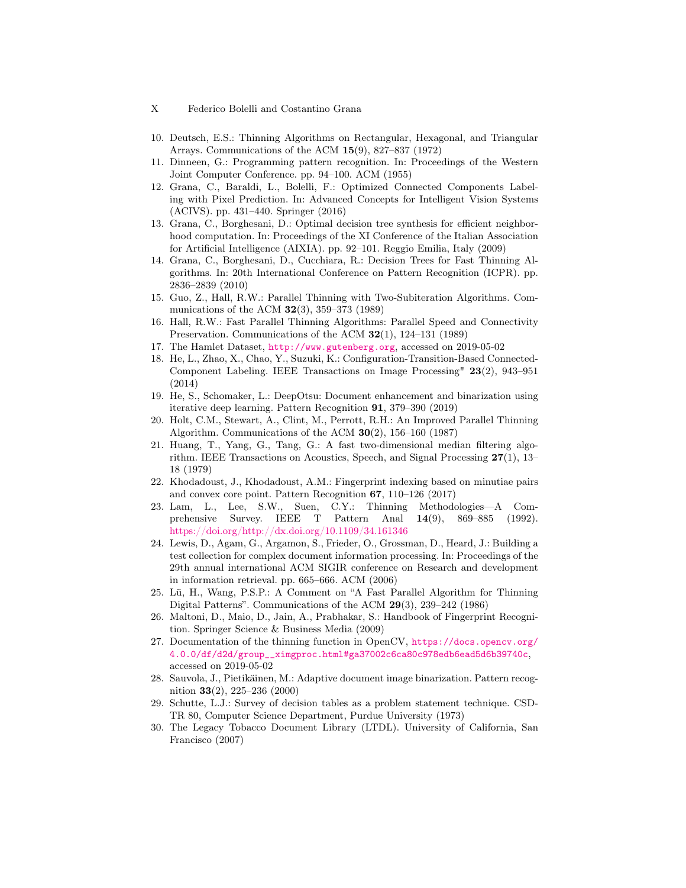- X Federico Bolelli and Costantino Grana
- <span id="page-9-0"></span>10. Deutsch, E.S.: Thinning Algorithms on Rectangular, Hexagonal, and Triangular Arrays. Communications of the ACM 15(9), 827–837 (1972)
- <span id="page-9-1"></span>11. Dinneen, G.: Programming pattern recognition. In: Proceedings of the Western Joint Computer Conference. pp. 94–100. ACM (1955)
- <span id="page-9-12"></span>12. Grana, C., Baraldi, L., Bolelli, F.: Optimized Connected Components Labeling with Pixel Prediction. In: Advanced Concepts for Intelligent Vision Systems (ACIVS). pp. 431–440. Springer (2016)
- <span id="page-9-9"></span>13. Grana, C., Borghesani, D.: Optimal decision tree synthesis for efficient neighborhood computation. In: Proceedings of the XI Conference of the Italian Association for Artificial Intelligence (AIXIA). pp. 92–101. Reggio Emilia, Italy (2009)
- <span id="page-9-15"></span>14. Grana, C., Borghesani, D., Cucchiara, R.: Decision Trees for Fast Thinning Algorithms. In: 20th International Conference on Pattern Recognition (ICPR). pp. 2836–2839 (2010)
- <span id="page-9-6"></span>15. Guo, Z., Hall, R.W.: Parallel Thinning with Two-Subiteration Algorithms. Communications of the ACM  $32(3)$ , 359–373 (1989)
- <span id="page-9-5"></span>16. Hall, R.W.: Fast Parallel Thinning Algorithms: Parallel Speed and Connectivity Preservation. Communications of the ACM 32(1), 124–131 (1989)
- <span id="page-9-16"></span>17. The Hamlet Dataset, <http://www.gutenberg.org>, accessed on 2019-05-02
- <span id="page-9-11"></span>18. He, L., Zhao, X., Chao, Y., Suzuki, K.: Configuration-Transition-Based Connected-Component Labeling. IEEE Transactions on Image Processing" 23(2), 943–951 (2014)
- <span id="page-9-2"></span>19. He, S., Schomaker, L.: DeepOtsu: Document enhancement and binarization using iterative deep learning. Pattern Recognition 91, 379–390 (2019)
- <span id="page-9-4"></span>20. Holt, C.M., Stewart, A., Clint, M., Perrott, R.H.: An Improved Parallel Thinning Algorithm. Communications of the ACM  $30(2)$ , 156–160 (1987)
- <span id="page-9-10"></span>21. Huang, T., Yang, G., Tang, G.: A fast two-dimensional median filtering algorithm. IEEE Transactions on Acoustics, Speech, and Signal Processing 27(1), 13– 18 (1979)
- <span id="page-9-3"></span>22. Khodadoust, J., Khodadoust, A.M.: Fingerprint indexing based on minutiae pairs and convex core point. Pattern Recognition 67, 110–126 (2017)
- <span id="page-9-13"></span>23. Lam, L., Lee, S.W., Suen, C.Y.: Thinning Methodologies—A Comprehensive Survey. IEEE T Pattern Anal 14(9), 869–885 (1992). <https://doi.org/http://dx.doi.org/10.1109/34.161346>
- <span id="page-9-17"></span>24. Lewis, D., Agam, G., Argamon, S., Frieder, O., Grossman, D., Heard, J.: Building a test collection for complex document information processing. In: Proceedings of the 29th annual international ACM SIGIR conference on Research and development in information retrieval. pp. 665–666. ACM (2006)
- <span id="page-9-7"></span>25. Lü, H., Wang, P.S.P.: A Comment on "A Fast Parallel Algorithm for Thinning Digital Patterns". Communications of the ACM 29(3), 239–242 (1986)
- <span id="page-9-19"></span>26. Maltoni, D., Maio, D., Jain, A., Prabhakar, S.: Handbook of Fingerprint Recognition. Springer Science & Business Media (2009)
- <span id="page-9-8"></span>27. Documentation of the thinning function in OpenCV, [https://docs.opencv.org/](https://docs.opencv.org/4.0.0/df/d2d/group__ximgproc.html#ga37002c6ca80c978edb6ead5d6b39740c) [4.0.0/df/d2d/group\\_\\_ximgproc.html#ga37002c6ca80c978edb6ead5d6b39740c](https://docs.opencv.org/4.0.0/df/d2d/group__ximgproc.html#ga37002c6ca80c978edb6ead5d6b39740c), accessed on 2019-05-02
- <span id="page-9-20"></span>28. Sauvola, J., Pietikäinen, M.: Adaptive document image binarization. Pattern recognition 33(2), 225–236 (2000)
- <span id="page-9-14"></span>29. Schutte, L.J.: Survey of decision tables as a problem statement technique. CSD-TR 80, Computer Science Department, Purdue University (1973)
- <span id="page-9-18"></span>30. The Legacy Tobacco Document Library (LTDL). University of California, San Francisco (2007)